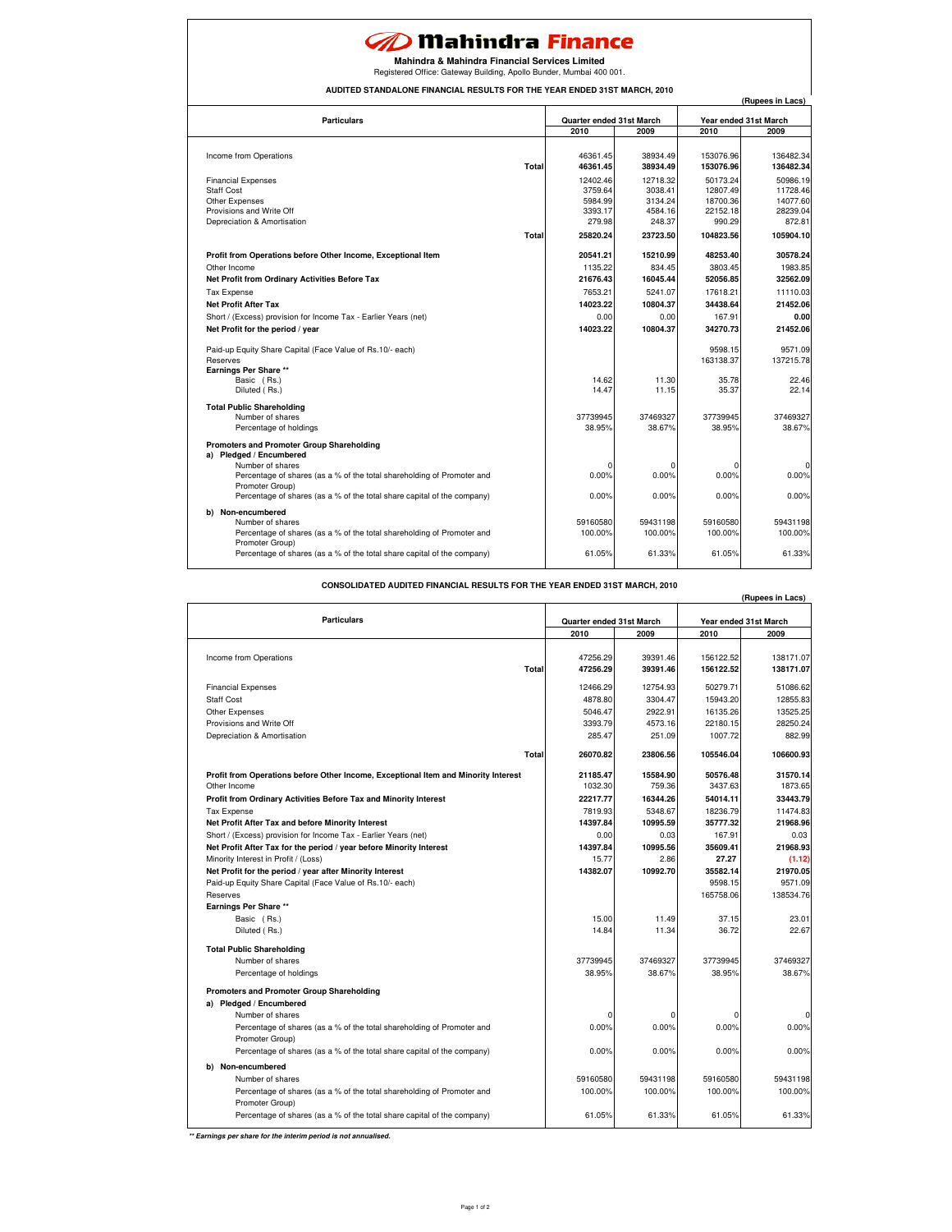## **20 Mahindra Finance**

**Mahindra & Mahindra Financial Services Limited**

Registered Office: Gateway Building, Apollo Bunder, Mumbai 400 001.

**AUDITED STANDALONE FINANCIAL RESULTS FOR THE YEAR ENDED 31ST MARCH, 2010**

| ALONE I INANUAL RESOLTS FOR THE TEAM                                                                                                                                                                                                                             |                                           |                                           |                                              | (Rupees in Lacs)                             |
|------------------------------------------------------------------------------------------------------------------------------------------------------------------------------------------------------------------------------------------------------------------|-------------------------------------------|-------------------------------------------|----------------------------------------------|----------------------------------------------|
| <b>Particulars</b>                                                                                                                                                                                                                                               | Quarter ended 31st March                  |                                           | Year ended 31st March                        |                                              |
|                                                                                                                                                                                                                                                                  | 2010                                      | 2009                                      | 2010                                         | 2009                                         |
| Income from Operations<br>Total                                                                                                                                                                                                                                  | 46361.45<br>46361.45                      | 38934.49<br>38934.49                      | 153076.96<br>153076.96                       | 136482.34<br>136482.34                       |
| <b>Financial Expenses</b><br><b>Staff Cost</b><br>Other Expenses<br>Provisions and Write Off                                                                                                                                                                     | 12402.46<br>3759.64<br>5984.99<br>3393.17 | 12718.32<br>3038.41<br>3134.24<br>4584.16 | 50173.24<br>12807.49<br>18700.36<br>22152.18 | 50986.19<br>11728.46<br>14077.60<br>28239.04 |
| Depreciation & Amortisation                                                                                                                                                                                                                                      | 279.98                                    | 248.37                                    | 990.29                                       | 872.81                                       |
| Total                                                                                                                                                                                                                                                            | 25820.24                                  | 23723.50                                  | 104823.56                                    | 105904.10                                    |
| Profit from Operations before Other Income, Exceptional Item<br>Other Income<br>Net Profit from Ordinary Activities Before Tax                                                                                                                                   | 20541.21<br>1135.22<br>21676.43           | 15210.99<br>834.45<br>16045.44            | 48253.40<br>3803.45<br>52056.85              | 30578.24<br>1983.85<br>32562.09              |
| <b>Tax Expense</b><br><b>Net Profit After Tax</b><br>Short / (Excess) provision for Income Tax - Earlier Years (net)                                                                                                                                             | 7653.21<br>14023.22<br>0.00               | 5241.07<br>10804.37<br>0.00               | 17618.21<br>34438.64<br>167.91               | 11110.03<br>21452.06<br>0.00                 |
| Net Profit for the period / year                                                                                                                                                                                                                                 | 14023.22                                  | 10804.37                                  | 34270.73                                     | 21452.06                                     |
| Paid-up Equity Share Capital (Face Value of Rs.10/- each)<br>Reserves<br>Earnings Per Share **<br>Basic (Rs.)<br>Diluted (Rs.)                                                                                                                                   | 14.62<br>14.47                            | 11.30<br>11.15                            | 9598.15<br>163138.37<br>35.78<br>35.37       | 9571.09<br>137215.78<br>22.46<br>22.14       |
| <b>Total Public Shareholding</b><br>Number of shares<br>Percentage of holdings                                                                                                                                                                                   | 37739945<br>38.95%                        | 37469327<br>38.67%                        | 37739945<br>38.95%                           | 37469327<br>38.67%                           |
| Promoters and Promoter Group Shareholding<br>a) Pledged / Encumbered<br>Number of shares<br>Percentage of shares (as a % of the total shareholding of Promoter and<br>Promoter Group)<br>Percentage of shares (as a % of the total share capital of the company) | $\Omega$<br>0.00%<br>0.00%                | 0.00%<br>0.00%                            | 0.00%<br>0.00%                               | $\Omega$<br>0.00%<br>0.00%                   |
| b) Non-encumbered<br>Number of shares<br>Percentage of shares (as a % of the total shareholding of Promoter and<br>Promoter Group)<br>Percentage of shares (as a % of the total share capital of the company)                                                    | 59160580<br>100.00%<br>61.05%             | 59431198<br>100.00%<br>61.33%             | 59160580<br>100.00%<br>61.05%                | 59431198<br>100.00%<br>61.33%                |

**CONSOLIDATED AUDITED FINANCIAL RESULTS FOR THE YEAR ENDED 31ST MARCH, 2010**

|                                                                                    |                          |          |                       | (Rupees in Lacs) |
|------------------------------------------------------------------------------------|--------------------------|----------|-----------------------|------------------|
| <b>Particulars</b>                                                                 | Quarter ended 31st March |          | Year ended 31st March |                  |
|                                                                                    | 2010                     | 2009     | 2010                  | 2009             |
|                                                                                    |                          |          |                       |                  |
| Income from Operations                                                             | 47256.29                 | 39391.46 | 156122.52             | 138171.07        |
| Total                                                                              | 47256.29                 | 39391.46 | 156122.52             | 138171.07        |
| <b>Financial Expenses</b>                                                          | 12466.29                 | 12754.93 | 50279.71              | 51086.62         |
| <b>Staff Cost</b>                                                                  | 4878.80                  | 3304.47  | 15943.20              | 12855.83         |
| Other Expenses                                                                     | 5046.47                  | 2922.91  | 16135.26              | 13525.25         |
| Provisions and Write Off                                                           | 3393.79                  | 4573.16  | 22180.15              | 28250.24         |
| Depreciation & Amortisation                                                        | 285.47                   | 251.09   | 1007.72               | 882.99           |
| Total                                                                              | 26070.82                 | 23806.56 | 105546.04             | 106600.93        |
| Profit from Operations before Other Income, Exceptional Item and Minority Interest | 21185.47                 | 15584.90 | 50576.48              | 31570.14         |
| Other Income                                                                       | 1032.30                  | 759.36   | 3437.63               | 1873.65          |
| Profit from Ordinary Activities Before Tax and Minority Interest                   | 22217.77                 | 16344.26 | 54014.11              | 33443.79         |
| <b>Tax Expense</b>                                                                 | 7819.93                  | 5348.67  | 18236.79              | 11474.83         |
| Net Profit After Tax and before Minority Interest                                  | 14397.84                 | 10995.59 | 35777.32              | 21968.96         |
| Short / (Excess) provision for Income Tax - Earlier Years (net)                    | 0.00                     | 0.03     | 167.91                | 0.03             |
| Net Profit After Tax for the period / year before Minority Interest                | 14397.84                 | 10995.56 | 35609.41              | 21968.93         |
| Minority Interest in Profit / (Loss)                                               | 15.77                    | 2.86     | 27.27                 | (1.12)           |
| Net Profit for the period / year after Minority Interest                           | 14382.07                 | 10992.70 | 35582.14              | 21970.05         |
| Paid-up Equity Share Capital (Face Value of Rs.10/- each)                          |                          |          | 9598.15               | 9571.09          |
| Reserves                                                                           |                          |          | 165758.06             | 138534.76        |
| <b>Earnings Per Share **</b>                                                       |                          |          |                       |                  |
| Basic (Rs.)                                                                        | 15.00                    | 11.49    | 37.15                 | 23.01            |
| Diluted (Rs.)                                                                      | 14.84                    | 11.34    | 36.72                 | 22.67            |
| <b>Total Public Shareholding</b>                                                   |                          |          |                       |                  |
| Number of shares                                                                   | 37739945                 | 37469327 | 37739945              | 37469327         |
| Percentage of holdings                                                             | 38.95%                   | 38.67%   | 38.95%                | 38.67%           |
| Promoters and Promoter Group Shareholding                                          |                          |          |                       |                  |
| a) Pledged / Encumbered                                                            |                          |          |                       |                  |
| Number of shares                                                                   | 0                        |          | $\Omega$              | ſ                |
| Percentage of shares (as a % of the total shareholding of Promoter and             | 0.00%                    | 0.00%    | 0.00%                 | 0.00%            |
| Promoter Group)                                                                    |                          |          |                       |                  |
| Percentage of shares (as a % of the total share capital of the company)            | 0.00%                    | 0.00%    | 0.00%                 | 0.00%            |
| b) Non-encumbered                                                                  |                          |          |                       |                  |
| Number of shares                                                                   | 59160580                 | 59431198 | 59160580              | 59431198         |
| Percentage of shares (as a % of the total shareholding of Promoter and             | 100.00%                  | 100.00%  | 100.00%               | 100.00%          |
| Promoter Group)                                                                    |                          |          |                       |                  |
| Percentage of shares (as a % of the total share capital of the company)            | 61.05%                   | 61.33%   | 61.05%                | 61.33%           |

**\*\* Earnings per share for the interim period is not annualised.**